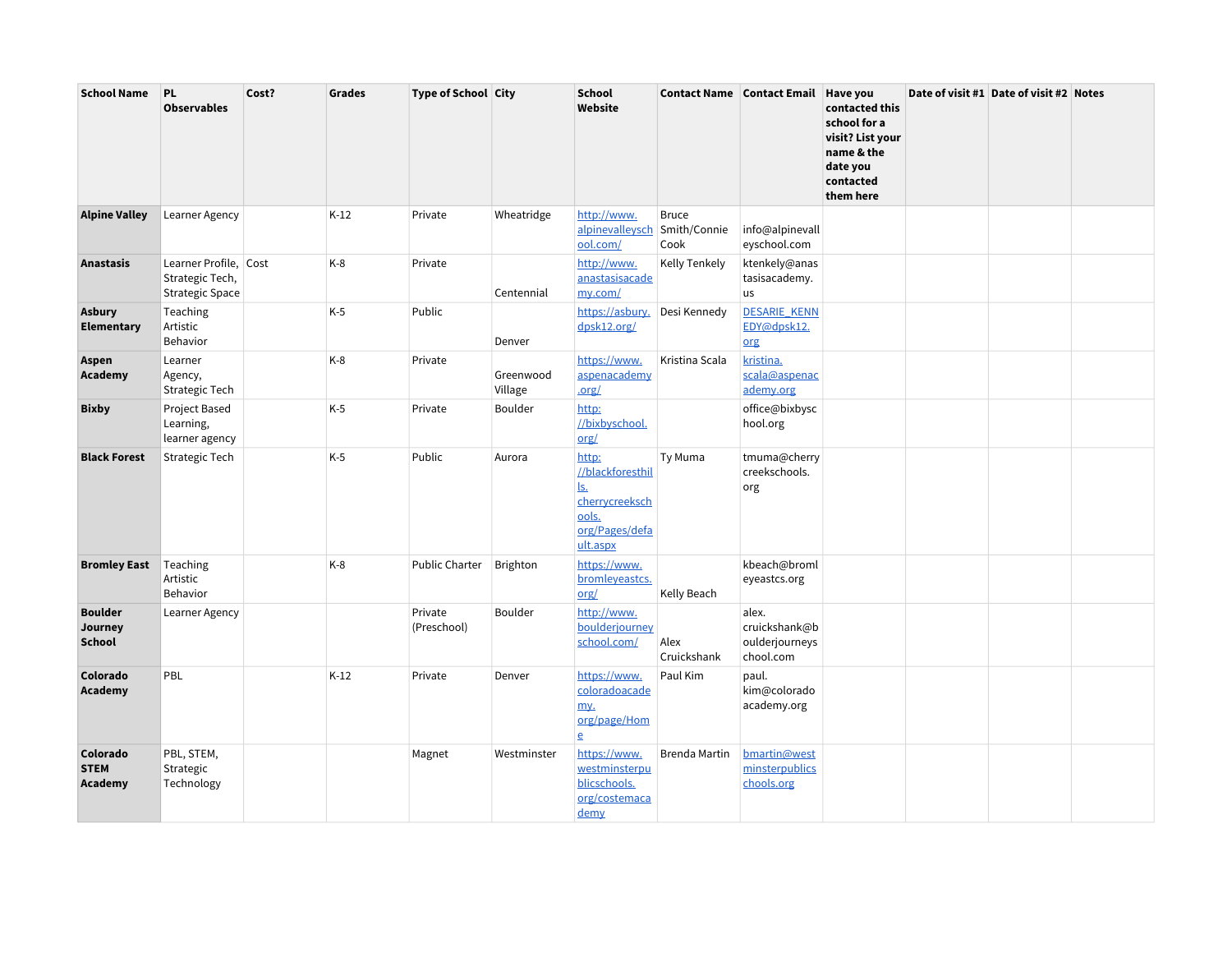| <b>School Name</b>                         | <b>PL</b><br><b>Observables</b>                                    | Cost? | <b>Grades</b> | <b>Type of School City</b> |                      | <b>School</b><br>Website                                                                  |                                      | Contact Name Contact Email Have you                   | contacted this<br>school for a<br>visit? List your<br>name & the<br>date you<br>contacted<br>them here | Date of visit #1 Date of visit #2 Notes |  |
|--------------------------------------------|--------------------------------------------------------------------|-------|---------------|----------------------------|----------------------|-------------------------------------------------------------------------------------------|--------------------------------------|-------------------------------------------------------|--------------------------------------------------------------------------------------------------------|-----------------------------------------|--|
| <b>Alpine Valley</b>                       | Learner Agency                                                     |       | $K-12$        | Private                    | Wheatridge           | http://www.<br>alpinevalleysch<br>ool.com/                                                | <b>Bruce</b><br>Smith/Connie<br>Cook | info@alpinevall<br>eyschool.com                       |                                                                                                        |                                         |  |
| <b>Anastasis</b>                           | Learner Profile, Cost<br>Strategic Tech,<br><b>Strategic Space</b> |       | K-8           | Private                    | Centennial           | http://www.<br>anastasisacade<br>my.com/                                                  | <b>Kelly Tenkely</b>                 | ktenkely@anas<br>tasisacademy.<br>us                  |                                                                                                        |                                         |  |
| <b>Asbury</b><br><b>Elementary</b>         | Teaching<br>Artistic<br>Behavior                                   |       | $K-5$         | Public                     | Denver               | https://asbury.<br>dpsk12.org/                                                            | Desi Kennedy                         | <b>DESARIE KENN</b><br>EDY@dpsk12.<br>org             |                                                                                                        |                                         |  |
| Aspen<br>Academy                           | Learner<br>Agency,<br>Strategic Tech                               |       | K-8           | Private                    | Greenwood<br>Village | https://www.<br>aspenacademy<br>.org/                                                     | Kristina Scala                       | kristina.<br>scala@aspenac<br>ademy.org               |                                                                                                        |                                         |  |
| <b>Bixby</b>                               | Project Based<br>Learning,<br>learner agency                       |       | $K-5$         | Private                    | Boulder              | http:<br>//bixbyschool.<br>org/                                                           |                                      | office@bixbysc<br>hool.org                            |                                                                                                        |                                         |  |
| <b>Black Forest</b>                        | Strategic Tech                                                     |       | K-5           | Public                     | Aurora               | http:<br>//blackforesthil<br>ls.<br>cherrycreeksch<br>ools.<br>org/Pages/defa<br>ult.aspx | Ty Muma                              | tmuma@cherry<br>creekschools.<br>org                  |                                                                                                        |                                         |  |
| <b>Bromley East</b>                        | Teaching<br>Artistic<br>Behavior                                   |       | $K-8$         | <b>Public Charter</b>      | Brighton             | https://www.<br>bromleyeastcs.<br>org/                                                    | Kelly Beach                          | kbeach@broml<br>eyeastcs.org                          |                                                                                                        |                                         |  |
| <b>Boulder</b><br>Journey<br><b>School</b> | Learner Agency                                                     |       |               | Private<br>(Preschool)     | Boulder              | http://www.<br>boulderjourney<br>school.com/                                              | Alex<br>Cruickshank                  | alex.<br>cruickshank@b<br>oulderjourneys<br>chool.com |                                                                                                        |                                         |  |
| Colorado<br>Academy                        | PBL                                                                |       | $K-12$        | Private                    | Denver               | https://www.<br>coloradoacade<br>my.<br>org/page/Hom<br>$\overline{e}$                    | Paul Kim                             | paul.<br>kim@colorado<br>academy.org                  |                                                                                                        |                                         |  |
| Colorado<br><b>STEM</b><br>Academy         | PBL, STEM,<br>Strategic<br>Technology                              |       |               | Magnet                     | Westminster          | https://www.<br>westminsterpu<br>blicschools.<br>org/costemaca<br>demy                    | Brenda Martin                        | bmartin@west<br>minsterpublics<br>chools.org          |                                                                                                        |                                         |  |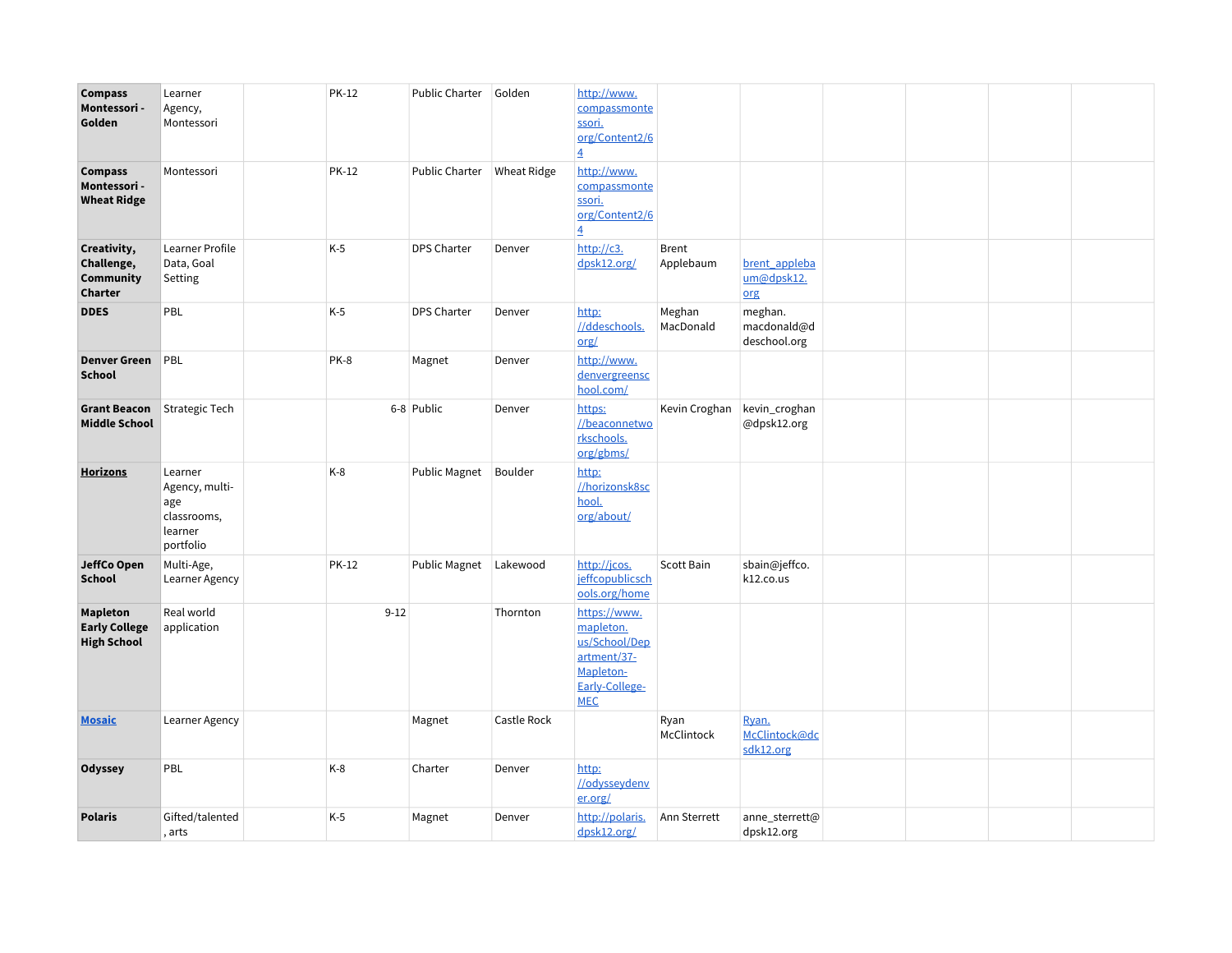| <b>Compass</b><br>Montessori -<br>Golden                 | Learner<br>Agency,<br>Montessori                                        | <b>PK-12</b> | Public Charter        | Golden             | http://www.<br>compassmonte<br>ssori.<br>org/Content2/6<br>$\overline{4}$                              |                           |                                        |  |  |
|----------------------------------------------------------|-------------------------------------------------------------------------|--------------|-----------------------|--------------------|--------------------------------------------------------------------------------------------------------|---------------------------|----------------------------------------|--|--|
| <b>Compass</b><br>Montessori -<br><b>Wheat Ridge</b>     | Montessori                                                              | <b>PK-12</b> | <b>Public Charter</b> | <b>Wheat Ridge</b> | http://www.<br>compassmonte<br>ssori.<br>org/Content2/6<br>$\overline{4}$                              |                           |                                        |  |  |
| Creativity,<br>Challenge,<br><b>Community</b><br>Charter | Learner Profile<br>Data, Goal<br>Setting                                | $K-5$        | <b>DPS Charter</b>    | Denver             | http://c3.<br>dpsk12.org/                                                                              | <b>Brent</b><br>Applebaum | brent_appleba<br>um@dpsk12.<br>org     |  |  |
| <b>DDES</b>                                              | PBL                                                                     | $K-5$        | <b>DPS Charter</b>    | Denver             | http:<br>//ddeschools.<br>$org/$                                                                       | Meghan<br>MacDonald       | meghan.<br>macdonald@d<br>deschool.org |  |  |
| <b>Denver Green</b><br><b>School</b>                     | PBL                                                                     | PK-8         | Magnet                | Denver             | http://www.<br>denvergreensc<br>hool.com/                                                              |                           |                                        |  |  |
| <b>Grant Beacon</b><br><b>Middle School</b>              | Strategic Tech                                                          |              | 6-8 Public            | Denver             | https:<br>//beaconnetwo<br>rkschools.<br>org/gbms/                                                     | Kevin Croghan             | kevin_croghan<br>@dpsk12.org           |  |  |
| <b>Horizons</b>                                          | Learner<br>Agency, multi-<br>age<br>classrooms,<br>learner<br>portfolio | $K-8$        | Public Magnet         | Boulder            | http:<br>//horizonsk8sc<br>hool.<br>org/about/                                                         |                           |                                        |  |  |
| JeffCo Open<br><b>School</b>                             | Multi-Age,<br>Learner Agency                                            | <b>PK-12</b> | Public Magnet         | Lakewood           | http://jcos.<br>jeffcopublicsch<br>ools.org/home                                                       | Scott Bain                | sbain@jeffco.<br>k12.co.us             |  |  |
| Mapleton<br><b>Early College</b><br><b>High School</b>   | Real world<br>application                                               | $9 - 12$     |                       | Thornton           | https://www.<br>mapleton.<br>us/School/Dep<br>artment/37-<br>Mapleton-<br>Early-College-<br><b>MEC</b> |                           |                                        |  |  |
| <b>Mosaic</b>                                            | Learner Agency                                                          |              | Magnet                | Castle Rock        |                                                                                                        | Ryan<br>McClintock        | Ryan.<br>McClintock@dc<br>sdk12.org    |  |  |
| Odyssey                                                  | PBL                                                                     | $K-8$        | Charter               | Denver             | http:<br>//odysseydenv<br>er.org/                                                                      |                           |                                        |  |  |
| <b>Polaris</b>                                           | Gifted/talented<br>, arts                                               | $K-5$        | Magnet                | Denver             | http://polaris.<br>dpsk12.org/                                                                         | Ann Sterrett              | anne_sterrett@<br>dpsk12.org           |  |  |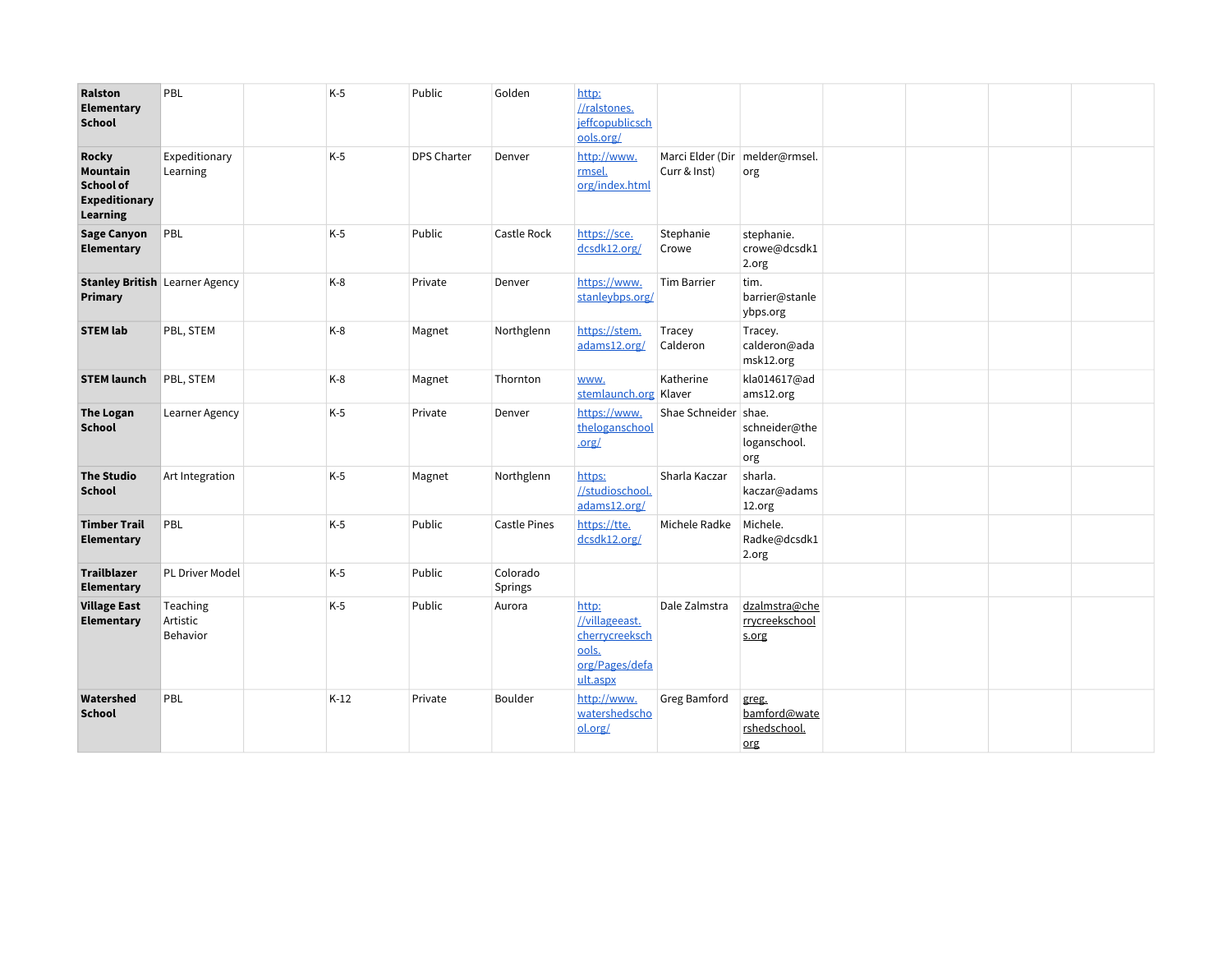| Ralston<br>Elementary<br><b>School</b>                                           | PBL                                   | $K-5$  | Public      | Golden              | http:<br>//ralstones.<br>jeffcopublicsch<br>ools.org/                            |                      |                                              |  |  |
|----------------------------------------------------------------------------------|---------------------------------------|--------|-------------|---------------------|----------------------------------------------------------------------------------|----------------------|----------------------------------------------|--|--|
| <b>Rocky</b><br>Mountain<br><b>School of</b><br><b>Expeditionary</b><br>Learning | Expeditionary<br>Learning             | $K-5$  | DPS Charter | Denver              | http://www.<br>rmsel.<br>org/index.html                                          | Curr & Inst)         | Marci Elder (Dir   melder@rmsel.<br>org      |  |  |
| <b>Sage Canyon</b><br>Elementary                                                 | PBL                                   | $K-5$  | Public      | Castle Rock         | https://sce.<br>dcsdk12.org/                                                     | Stephanie<br>Crowe   | stephanie.<br>crowe@dcsdk1<br>2.org          |  |  |
| Primary                                                                          | <b>Stanley British Learner Agency</b> | $K-8$  | Private     | Denver              | https://www.<br>stanleybps.org/                                                  | <b>Tim Barrier</b>   | tim.<br>barrier@stanle<br>ybps.org           |  |  |
| <b>STEM lab</b>                                                                  | PBL, STEM                             | $K-8$  | Magnet      | Northglenn          | https://stem.<br>adams12.org/                                                    | Tracey<br>Calderon   | Tracey.<br>calderon@ada<br>msk12.org         |  |  |
| <b>STEM launch</b>                                                               | PBL, STEM                             | $K-8$  | Magnet      | Thornton            | www.<br>stemlaunch.org                                                           | Katherine<br>Klaver  | kla014617@ad<br>ams12.org                    |  |  |
| <b>The Logan</b><br><b>School</b>                                                | Learner Agency                        | $K-5$  | Private     | Denver              | https://www.<br>theloganschool<br>.org/                                          | Shae Schneider shae. | schneider@the<br>loganschool.<br>org         |  |  |
| <b>The Studio</b><br><b>School</b>                                               | Art Integration                       | $K-5$  | Magnet      | Northglenn          | https:<br>//studioschool.<br>adams12.org/                                        | Sharla Kaczar        | sharla.<br>kaczar@adams<br>12.org            |  |  |
| <b>Timber Trail</b><br>Elementary                                                | PBL                                   | $K-5$  | Public      | <b>Castle Pines</b> | https://tte.<br>dcsdk12.org/                                                     | Michele Radke        | Michele.<br>Radke@dcsdk1<br>2.org            |  |  |
| <b>Trailblazer</b><br>Elementary                                                 | PL Driver Model                       | $K-5$  | Public      | Colorado<br>Springs |                                                                                  |                      |                                              |  |  |
| <b>Village East</b><br>Elementary                                                | Teaching<br>Artistic<br>Behavior      | $K-5$  | Public      | Aurora              | http:<br>//villageeast.<br>cherrycreeksch<br>ools.<br>org/Pages/defa<br>ult.aspx | Dale Zalmstra        | dzalmstra@che<br>rrycreekschool<br>s.org     |  |  |
| Watershed<br><b>School</b>                                                       | PBL                                   | $K-12$ | Private     | Boulder             | http://www.<br>watershedscho<br>ol.org/                                          | Greg Bamford         | greg.<br>bamford@wate<br>rshedschool.<br>org |  |  |